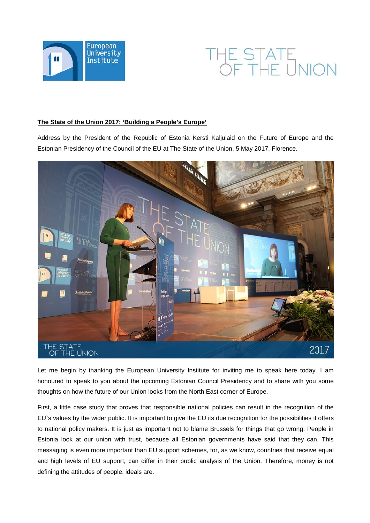



## **The State of the Union 2017: 'Building a People's Europe'**

Address by the President of the Republic of Estonia Kersti Kaljulaid on the Future of Europe and the Estonian Presidency of the Council of the EU at The State of the Union, 5 May 2017, Florence.



Let me begin by thanking the European University Institute for inviting me to speak here today. I am honoured to speak to you about the upcoming Estonian Council Presidency and to share with you some thoughts on how the future of our Union looks from the North East corner of Europe.

First, a little case study that proves that responsible national policies can result in the recognition of the EU`s values by the wider public. It is important to give the EU its due recognition for the possibilities it offers to national policy makers. It is just as important not to blame Brussels for things that go wrong. People in Estonia look at our union with trust, because all Estonian governments have said that they can. This messaging is even more important than EU support schemes, for, as we know, countries that receive equal and high levels of EU support, can differ in their public analysis of the Union. Therefore, money is not defining the attitudes of people, ideals are.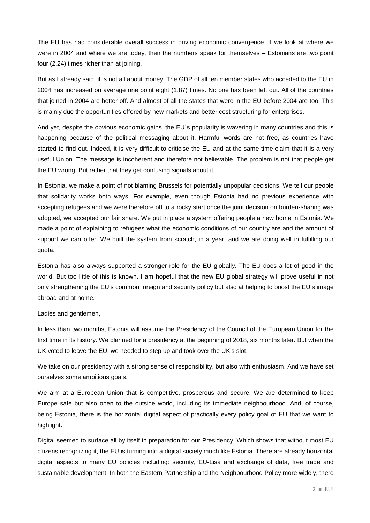The EU has had considerable overall success in driving economic convergence. If we look at where we were in 2004 and where we are today, then the numbers speak for themselves – Estonians are two point four (2.24) times richer than at joining.

But as I already said, it is not all about money. The GDP of all ten member states who acceded to the EU in 2004 has increased on average one point eight (1.87) times. No one has been left out. All of the countries that joined in 2004 are better off. And almost of all the states that were in the EU before 2004 are too. This is mainly due the opportunities offered by new markets and better cost structuring for enterprises.

And yet, despite the obvious economic gains, the EU`s popularity is wavering in many countries and this is happening because of the political messaging about it. Harmful words are not free, as countries have started to find out. Indeed, it is very difficult to criticise the EU and at the same time claim that it is a very useful Union. The message is incoherent and therefore not believable. The problem is not that people get the EU wrong. But rather that they get confusing signals about it.

In Estonia, we make a point of not blaming Brussels for potentially unpopular decisions. We tell our people that solidarity works both ways. For example, even though Estonia had no previous experience with accepting refugees and we were therefore off to a rocky start once the joint decision on burden-sharing was adopted, we accepted our fair share. We put in place a system offering people a new home in Estonia. We made a point of explaining to refugees what the economic conditions of our country are and the amount of support we can offer. We built the system from scratch, in a year, and we are doing well in fulfilling our quota.

Estonia has also always supported a stronger role for the EU globally. The EU does a lot of good in the world. But too little of this is known. I am hopeful that the new EU global strategy will prove useful in not only strengthening the EU's common foreign and security policy but also at helping to boost the EU's image abroad and at home.

## Ladies and gentlemen,

In less than two months, Estonia will assume the Presidency of the Council of the European Union for the first time in its history. We planned for a presidency at the beginning of 2018, six months later. But when the UK voted to leave the EU, we needed to step up and took over the UK's slot.

We take on our presidency with a strong sense of responsibility, but also with enthusiasm. And we have set ourselves some ambitious goals.

We aim at a European Union that is competitive, prosperous and secure. We are determined to keep Europe safe but also open to the outside world, including its immediate neighbourhood. And, of course, being Estonia, there is the horizontal digital aspect of practically every policy goal of EU that we want to highlight.

Digital seemed to surface all by itself in preparation for our Presidency. Which shows that without most EU citizens recognizing it, the EU is turning into a digital society much like Estonia. There are already horizontal digital aspects to many EU policies including: security, EU-Lisa and exchange of data, free trade and sustainable development. In both the Eastern Partnership and the Neighbourhood Policy more widely, there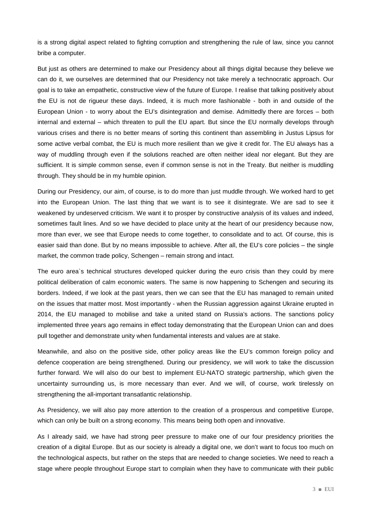is a strong digital aspect related to fighting corruption and strengthening the rule of law, since you cannot bribe a computer.

But just as others are determined to make our Presidency about all things digital because they believe we can do it, we ourselves are determined that our Presidency not take merely a technocratic approach. Our goal is to take an empathetic, constructive view of the future of Europe. I realise that talking positively about the EU is not de rigueur these days. Indeed, it is much more fashionable - both in and outside of the European Union - to worry about the EU's disintegration and demise. Admittedly there are forces – both internal and external – which threaten to pull the EU apart. But since the EU normally develops through various crises and there is no better means of sorting this continent than assembling in Justus Lipsus for some active verbal combat, the EU is much more resilient than we give it credit for. The EU always has a way of muddling through even if the solutions reached are often neither ideal nor elegant. But they are sufficient. It is simple common sense, even if common sense is not in the Treaty. But neither is muddling through. They should be in my humble opinion.

During our Presidency, our aim, of course, is to do more than just muddle through. We worked hard to get into the European Union. The last thing that we want is to see it disintegrate. We are sad to see it weakened by undeserved criticism. We want it to prosper by constructive analysis of its values and indeed, sometimes fault lines. And so we have decided to place unity at the heart of our presidency because now, more than ever, we see that Europe needs to come together, to consolidate and to act. Of course, this is easier said than done. But by no means impossible to achieve. After all, the EU's core policies – the single market, the common trade policy, Schengen – remain strong and intact.

The euro area`s technical structures developed quicker during the euro crisis than they could by mere political deliberation of calm economic waters. The same is now happening to Schengen and securing its borders. Indeed, if we look at the past years, then we can see that the EU has managed to remain united on the issues that matter most. Most importantly - when the Russian aggression against Ukraine erupted in 2014, the EU managed to mobilise and take a united stand on Russia's actions. The sanctions policy implemented three years ago remains in effect today demonstrating that the European Union can and does pull together and demonstrate unity when fundamental interests and values are at stake.

Meanwhile, and also on the positive side, other policy areas like the EU's common foreign policy and defence cooperation are being strengthened. During our presidency, we will work to take the discussion further forward. We will also do our best to implement EU-NATO strategic partnership, which given the uncertainty surrounding us, is more necessary than ever. And we will, of course, work tirelessly on strengthening the all-important transatlantic relationship.

As Presidency, we will also pay more attention to the creation of a prosperous and competitive Europe, which can only be built on a strong economy. This means being both open and innovative.

As I already said, we have had strong peer pressure to make one of our four presidency priorities the creation of a digital Europe. But as our society is already a digital one, we don't want to focus too much on the technological aspects, but rather on the steps that are needed to change societies. We need to reach a stage where people throughout Europe start to complain when they have to communicate with their public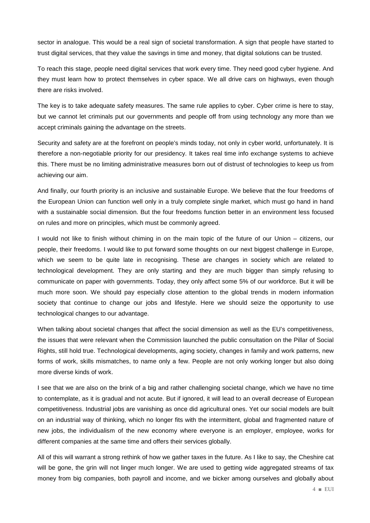sector in analogue. This would be a real sign of societal transformation. A sign that people have started to trust digital services, that they value the savings in time and money, that digital solutions can be trusted.

To reach this stage, people need digital services that work every time. They need good cyber hygiene. And they must learn how to protect themselves in cyber space. We all drive cars on highways, even though there are risks involved.

The key is to take adequate safety measures. The same rule applies to cyber. Cyber crime is here to stay, but we cannot let criminals put our governments and people off from using technology any more than we accept criminals gaining the advantage on the streets.

Security and safety are at the forefront on people's minds today, not only in cyber world, unfortunately. It is therefore a non-negotiable priority for our presidency. It takes real time info exchange systems to achieve this. There must be no limiting administrative measures born out of distrust of technologies to keep us from achieving our aim.

And finally, our fourth priority is an inclusive and sustainable Europe. We believe that the four freedoms of the European Union can function well only in a truly complete single market, which must go hand in hand with a sustainable social dimension. But the four freedoms function better in an environment less focused on rules and more on principles, which must be commonly agreed.

I would not like to finish without chiming in on the main topic of the future of our Union – citizens, our people, their freedoms. I would like to put forward some thoughts on our next biggest challenge in Europe, which we seem to be quite late in recognising. These are changes in society which are related to technological development. They are only starting and they are much bigger than simply refusing to communicate on paper with governments. Today, they only affect some 5% of our workforce. But it will be much more soon. We should pay especially close attention to the global trends in modern information society that continue to change our jobs and lifestyle. Here we should seize the opportunity to use technological changes to our advantage.

When talking about societal changes that affect the social dimension as well as the EU's competitiveness, the issues that were relevant when the Commission launched the public consultation on the Pillar of Social Rights, still hold true. Technological developments, aging society, changes in family and work patterns, new forms of work, skills mismatches, to name only a few. People are not only working longer but also doing more diverse kinds of work.

I see that we are also on the brink of a big and rather challenging societal change, which we have no time to contemplate, as it is gradual and not acute. But if ignored, it will lead to an overall decrease of European competitiveness. Industrial jobs are vanishing as once did agricultural ones. Yet our social models are built on an industrial way of thinking, which no longer fits with the intermittent, global and fragmented nature of new jobs, the individualism of the new economy where everyone is an employer, employee, works for different companies at the same time and offers their services globally.

All of this will warrant a strong rethink of how we gather taxes in the future. As I like to say, the Cheshire cat will be gone, the grin will not linger much longer. We are used to getting wide aggregated streams of tax money from big companies, both payroll and income, and we bicker among ourselves and globally about